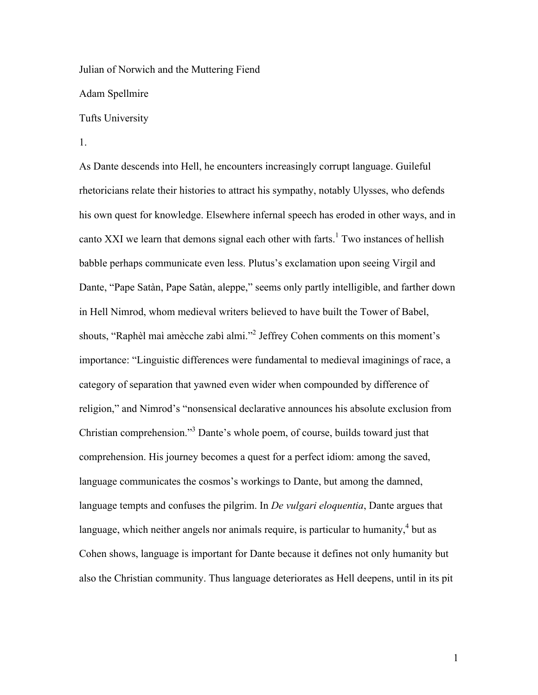Julian of Norwich and the Muttering Fiend Adam Spellmire Tufts University

1.

As Dante descends into Hell, he encounters increasingly corrupt language. Guileful rhetoricians relate their histories to attract his sympathy, notably Ulysses, who defends his own quest for knowledge. Elsewhere infernal speech has eroded in other ways, and in canto XXI we learn that demons signal each other with farts.<sup>1</sup> Two instances of hellish babble perhaps communicate even less. Plutus's exclamation upon seeing Virgil and Dante, "Pape Satàn, Pape Satàn, aleppe," seems only partly intelligible, and farther down in Hell Nimrod, whom medieval writers believed to have built the Tower of Babel, shouts, "Raphèl maì amècche zabì almi."<sup>2</sup> Jeffrey Cohen comments on this moment's importance: "Linguistic differences were fundamental to medieval imaginings of race, a category of separation that yawned even wider when compounded by difference of religion," and Nimrod's "nonsensical declarative announces his absolute exclusion from Christian comprehension."<sup>3</sup> Dante's whole poem, of course, builds toward just that comprehension. His journey becomes a quest for a perfect idiom: among the saved, language communicates the cosmos's workings to Dante, but among the damned, language tempts and confuses the pilgrim. In *De vulgari eloquentia*, Dante argues that language, which neither angels nor animals require, is particular to humanity,<sup>4</sup> but as Cohen shows, language is important for Dante because it defines not only humanity but also the Christian community. Thus language deteriorates as Hell deepens, until in its pit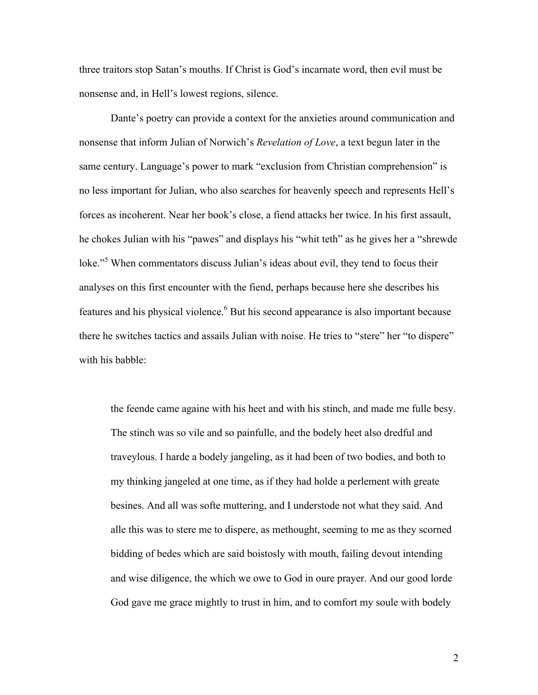three traitors stop Satan's mouths. If Christ is God's incarnate word, then evil must be nonsense and, in Hell's lowest regions, silence.

Dante's poetry can provide a context for the anxieties around communication and nonsense that inform Julian of Norwich's *Revelation of Love*, a text begun later in the same century. Language's power to mark "exclusion from Christian comprehension" is no less important for Julian, who also searches for heavenly speech and represents Hell's forces as incoherent. Near her book's close, a fiend attacks her twice. In his first assault, he chokes Julian with his "pawes" and displays his "whit teth" as he gives her a "shrewde loke."<sup>5</sup> When commentators discuss Julian's ideas about evil, they tend to focus their analyses on this first encounter with the fiend, perhaps because here she describes his features and his physical violence.<sup>6</sup> But his second appearance is also important because there he switches tactics and assails Julian with noise. He tries to "stere" her "to dispere" with his babble:

the feende came againe with his heet and with his stinch, and made me fulle besy. The stinch was so vile and so painfulle, and the bodely heet also dredful and traveylous. I harde a bodely jangeling, as it had been of two bodies, and both to my thinking jangeled at one time, as if they had holde a perlement with greate besines. And all was softe muttering, and I understode not what they said. And alle this was to stere me to dispere, as methought, seeming to me as they scorned bidding of bedes which are said boistosly with mouth, failing devout intending and wise diligence, the which we owe to God in oure prayer. And our good lorde God gave me grace mightly to trust in him, and to comfort my soule with bodely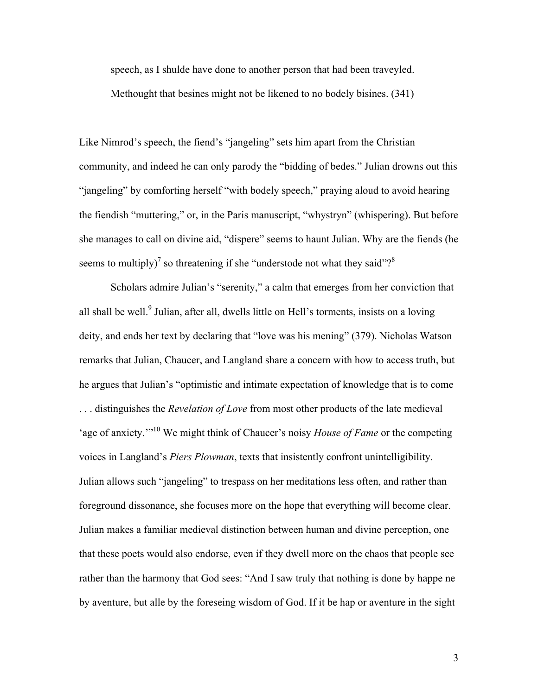speech, as I shulde have done to another person that had been traveyled. Methought that besines might not be likened to no bodely bisines. (341)

Like Nimrod's speech, the fiend's "jangeling" sets him apart from the Christian community, and indeed he can only parody the "bidding of bedes." Julian drowns out this "jangeling" by comforting herself "with bodely speech," praying aloud to avoid hearing the fiendish "muttering," or, in the Paris manuscript, "whystryn" (whispering). But before she manages to call on divine aid, "dispere" seems to haunt Julian. Why are the fiends (he seems to multiply)<sup>7</sup> so threatening if she "understode not what they said"?<sup>8</sup>

Scholars admire Julian's "serenity," a calm that emerges from her conviction that all shall be well. $<sup>9</sup>$  Julian, after all, dwells little on Hell's torments, insists on a loving</sup> deity, and ends her text by declaring that "love was his mening" (379). Nicholas Watson remarks that Julian, Chaucer, and Langland share a concern with how to access truth, but he argues that Julian's "optimistic and intimate expectation of knowledge that is to come . . . distinguishes the *Revelation of Love* from most other products of the late medieval 'age of anxiety.'" <sup>10</sup> We might think of Chaucer's noisy *House of Fame* or the competing voices in Langland's *Piers Plowman*, texts that insistently confront unintelligibility. Julian allows such "jangeling" to trespass on her meditations less often, and rather than foreground dissonance, she focuses more on the hope that everything will become clear. Julian makes a familiar medieval distinction between human and divine perception, one that these poets would also endorse, even if they dwell more on the chaos that people see rather than the harmony that God sees: "And I saw truly that nothing is done by happe ne by aventure, but alle by the foreseing wisdom of God. If it be hap or aventure in the sight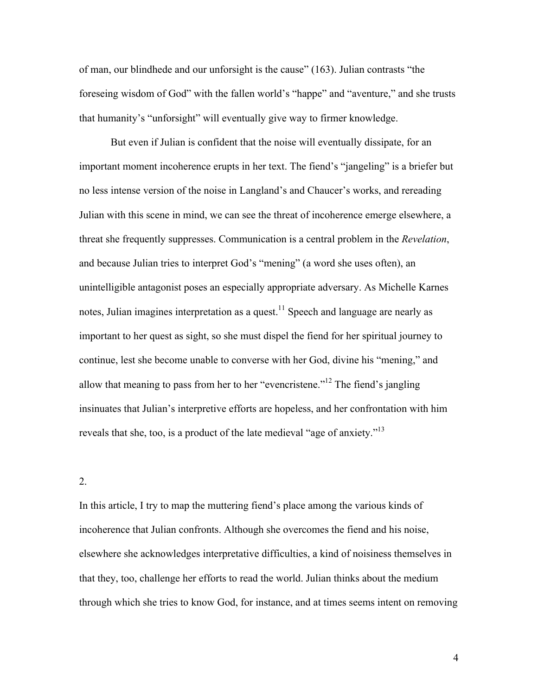of man, our blindhede and our unforsight is the cause" (163). Julian contrasts "the foreseing wisdom of God" with the fallen world's "happe" and "aventure," and she trusts that humanity's "unforsight" will eventually give way to firmer knowledge.

But even if Julian is confident that the noise will eventually dissipate, for an important moment incoherence erupts in her text. The fiend's "jangeling" is a briefer but no less intense version of the noise in Langland's and Chaucer's works, and rereading Julian with this scene in mind, we can see the threat of incoherence emerge elsewhere, a threat she frequently suppresses. Communication is a central problem in the *Revelation*, and because Julian tries to interpret God's "mening" (a word she uses often), an unintelligible antagonist poses an especially appropriate adversary. As Michelle Karnes notes, Julian imagines interpretation as a quest.<sup>11</sup> Speech and language are nearly as important to her quest as sight, so she must dispel the fiend for her spiritual journey to continue, lest she become unable to converse with her God, divine his "mening," and allow that meaning to pass from her to her "evencristene."12 The fiend's jangling insinuates that Julian's interpretive efforts are hopeless, and her confrontation with him reveals that she, too, is a product of the late medieval "age of anxiety."<sup>13</sup>

## 2.

In this article, I try to map the muttering fiend's place among the various kinds of incoherence that Julian confronts. Although she overcomes the fiend and his noise, elsewhere she acknowledges interpretative difficulties, a kind of noisiness themselves in that they, too, challenge her efforts to read the world. Julian thinks about the medium through which she tries to know God, for instance, and at times seems intent on removing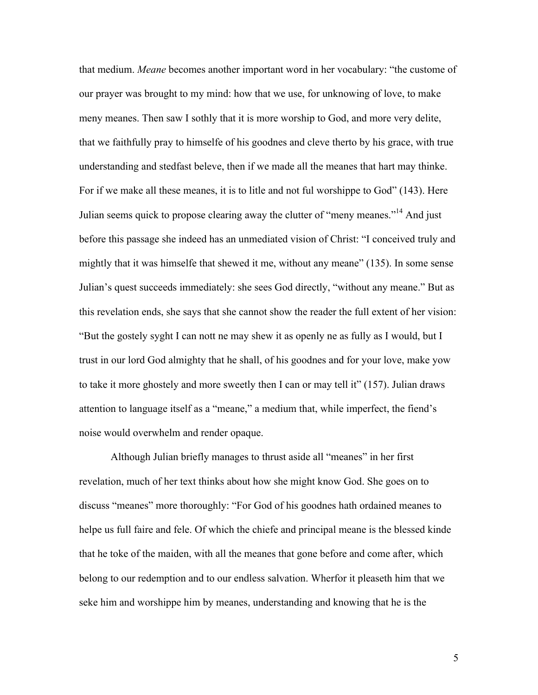that medium. *Meane* becomes another important word in her vocabulary: "the custome of our prayer was brought to my mind: how that we use, for unknowing of love, to make meny meanes. Then saw I sothly that it is more worship to God, and more very delite, that we faithfully pray to himselfe of his goodnes and cleve therto by his grace, with true understanding and stedfast beleve, then if we made all the meanes that hart may thinke. For if we make all these meanes, it is to litle and not ful worshippe to God" (143). Here Julian seems quick to propose clearing away the clutter of "meny meanes."14 And just before this passage she indeed has an unmediated vision of Christ: "I conceived truly and mightly that it was himselfe that shewed it me, without any meane" (135). In some sense Julian's quest succeeds immediately: she sees God directly, "without any meane." But as this revelation ends, she says that she cannot show the reader the full extent of her vision: "But the gostely syght I can nott ne may shew it as openly ne as fully as I would, but I trust in our lord God almighty that he shall, of his goodnes and for your love, make yow to take it more ghostely and more sweetly then I can or may tell it" (157). Julian draws attention to language itself as a "meane," a medium that, while imperfect, the fiend's noise would overwhelm and render opaque.

Although Julian briefly manages to thrust aside all "meanes" in her first revelation, much of her text thinks about how she might know God. She goes on to discuss "meanes" more thoroughly: "For God of his goodnes hath ordained meanes to helpe us full faire and fele. Of which the chiefe and principal meane is the blessed kinde that he toke of the maiden, with all the meanes that gone before and come after, which belong to our redemption and to our endless salvation. Wherfor it pleaseth him that we seke him and worshippe him by meanes, understanding and knowing that he is the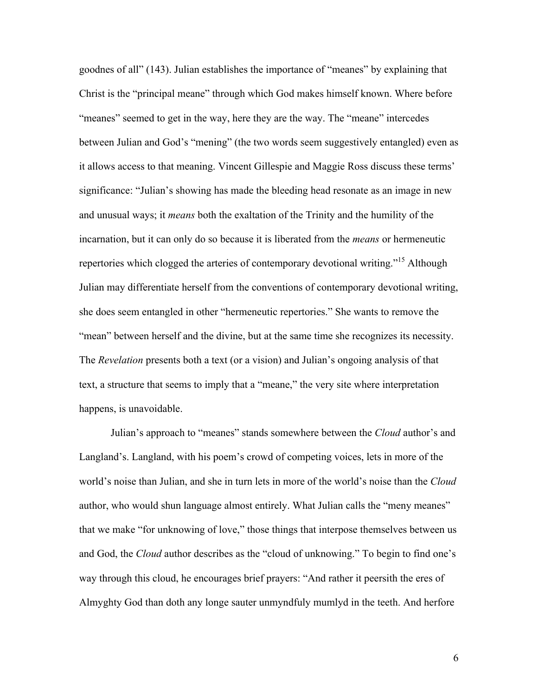goodnes of all" (143). Julian establishes the importance of "meanes" by explaining that Christ is the "principal meane" through which God makes himself known. Where before "meanes" seemed to get in the way, here they are the way. The "meane" intercedes between Julian and God's "mening" (the two words seem suggestively entangled) even as it allows access to that meaning. Vincent Gillespie and Maggie Ross discuss these terms' significance: "Julian's showing has made the bleeding head resonate as an image in new and unusual ways; it *means* both the exaltation of the Trinity and the humility of the incarnation, but it can only do so because it is liberated from the *means* or hermeneutic repertories which clogged the arteries of contemporary devotional writing."<sup>15</sup> Although Julian may differentiate herself from the conventions of contemporary devotional writing, she does seem entangled in other "hermeneutic repertories." She wants to remove the "mean" between herself and the divine, but at the same time she recognizes its necessity. The *Revelation* presents both a text (or a vision) and Julian's ongoing analysis of that text, a structure that seems to imply that a "meane," the very site where interpretation happens, is unavoidable.

Julian's approach to "meanes" stands somewhere between the *Cloud* author's and Langland's. Langland, with his poem's crowd of competing voices, lets in more of the world's noise than Julian, and she in turn lets in more of the world's noise than the *Cloud*  author, who would shun language almost entirely. What Julian calls the "meny meanes" that we make "for unknowing of love," those things that interpose themselves between us and God, the *Cloud* author describes as the "cloud of unknowing." To begin to find one's way through this cloud, he encourages brief prayers: "And rather it peersith the eres of Almyghty God than doth any longe sauter unmyndfuly mumlyd in the teeth. And herfore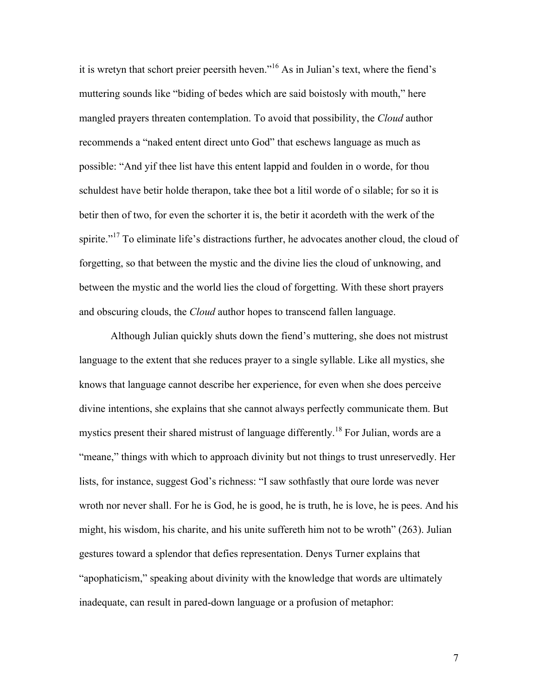it is wretyn that schort preier peersith heven."16 As in Julian's text, where the fiend's muttering sounds like "biding of bedes which are said boistosly with mouth," here mangled prayers threaten contemplation. To avoid that possibility, the *Cloud* author recommends a "naked entent direct unto God" that eschews language as much as possible: "And yif thee list have this entent lappid and foulden in o worde, for thou schuldest have betir holde therapon, take thee bot a litil worde of o silable; for so it is betir then of two, for even the schorter it is, the betir it acordeth with the werk of the spirite. $17$ <sup>17</sup> To eliminate life's distractions further, he advocates another cloud, the cloud of forgetting, so that between the mystic and the divine lies the cloud of unknowing, and between the mystic and the world lies the cloud of forgetting. With these short prayers and obscuring clouds, the *Cloud* author hopes to transcend fallen language.

Although Julian quickly shuts down the fiend's muttering, she does not mistrust language to the extent that she reduces prayer to a single syllable. Like all mystics, she knows that language cannot describe her experience, for even when she does perceive divine intentions, she explains that she cannot always perfectly communicate them. But mystics present their shared mistrust of language differently.<sup>18</sup> For Julian, words are a "meane," things with which to approach divinity but not things to trust unreservedly. Her lists, for instance, suggest God's richness: "I saw sothfastly that oure lorde was never wroth nor never shall. For he is God, he is good, he is truth, he is love, he is pees. And his might, his wisdom, his charite, and his unite suffereth him not to be wroth" (263). Julian gestures toward a splendor that defies representation. Denys Turner explains that "apophaticism," speaking about divinity with the knowledge that words are ultimately inadequate, can result in pared-down language or a profusion of metaphor: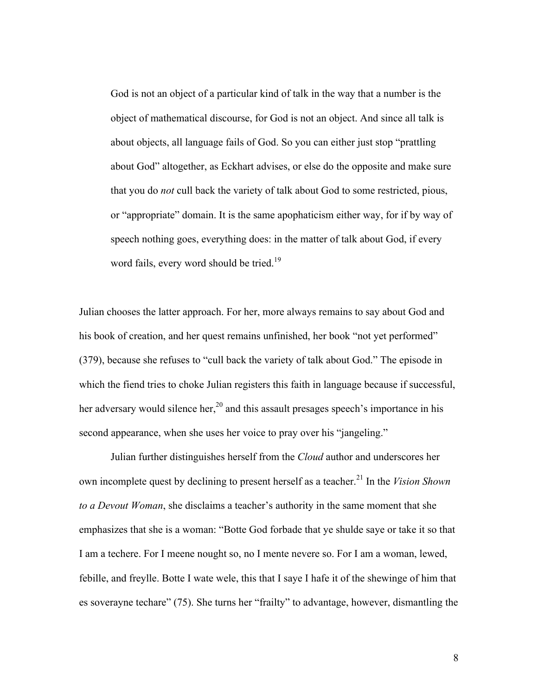God is not an object of a particular kind of talk in the way that a number is the object of mathematical discourse, for God is not an object. And since all talk is about objects, all language fails of God. So you can either just stop "prattling about God" altogether, as Eckhart advises, or else do the opposite and make sure that you do *not* cull back the variety of talk about God to some restricted, pious, or "appropriate" domain. It is the same apophaticism either way, for if by way of speech nothing goes, everything does: in the matter of talk about God, if every word fails, every word should be tried.<sup>19</sup>

Julian chooses the latter approach. For her, more always remains to say about God and his book of creation, and her quest remains unfinished, her book "not yet performed" (379), because she refuses to "cull back the variety of talk about God." The episode in which the fiend tries to choke Julian registers this faith in language because if successful, her adversary would silence her,<sup>20</sup> and this assault presages speech's importance in his second appearance, when she uses her voice to pray over his "jangeling."

Julian further distinguishes herself from the *Cloud* author and underscores her own incomplete quest by declining to present herself as a teacher.<sup>21</sup> In the *Vision Shown to a Devout Woman*, she disclaims a teacher's authority in the same moment that she emphasizes that she is a woman: "Botte God forbade that ye shulde saye or take it so that I am a techere. For I meene nought so, no I mente nevere so. For I am a woman, lewed, febille, and freylle. Botte I wate wele, this that I saye I hafe it of the shewinge of him that es soverayne techare" (75). She turns her "frailty" to advantage, however, dismantling the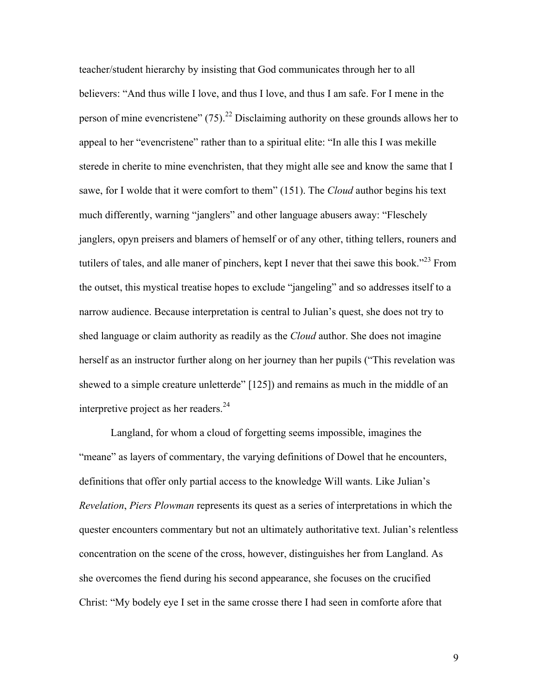teacher/student hierarchy by insisting that God communicates through her to all believers: "And thus wille I love, and thus I love, and thus I am safe. For I mene in the person of mine evencristene"  $(75)$ <sup>22</sup> Disclaiming authority on these grounds allows her to appeal to her "evencristene" rather than to a spiritual elite: "In alle this I was mekille sterede in cherite to mine evenchristen, that they might alle see and know the same that I sawe, for I wolde that it were comfort to them" (151). The *Cloud* author begins his text much differently, warning "janglers" and other language abusers away: "Fleschely janglers, opyn preisers and blamers of hemself or of any other, tithing tellers, rouners and tutilers of tales, and alle maner of pinchers, kept I never that thei sawe this book."<sup>23</sup> From the outset, this mystical treatise hopes to exclude "jangeling" and so addresses itself to a narrow audience. Because interpretation is central to Julian's quest, she does not try to shed language or claim authority as readily as the *Cloud* author. She does not imagine herself as an instructor further along on her journey than her pupils ("This revelation was shewed to a simple creature unletterde" [125]) and remains as much in the middle of an interpretive project as her readers. $24$ 

Langland, for whom a cloud of forgetting seems impossible, imagines the "meane" as layers of commentary, the varying definitions of Dowel that he encounters, definitions that offer only partial access to the knowledge Will wants. Like Julian's *Revelation*, *Piers Plowman* represents its quest as a series of interpretations in which the quester encounters commentary but not an ultimately authoritative text. Julian's relentless concentration on the scene of the cross, however, distinguishes her from Langland. As she overcomes the fiend during his second appearance, she focuses on the crucified Christ: "My bodely eye I set in the same crosse there I had seen in comforte afore that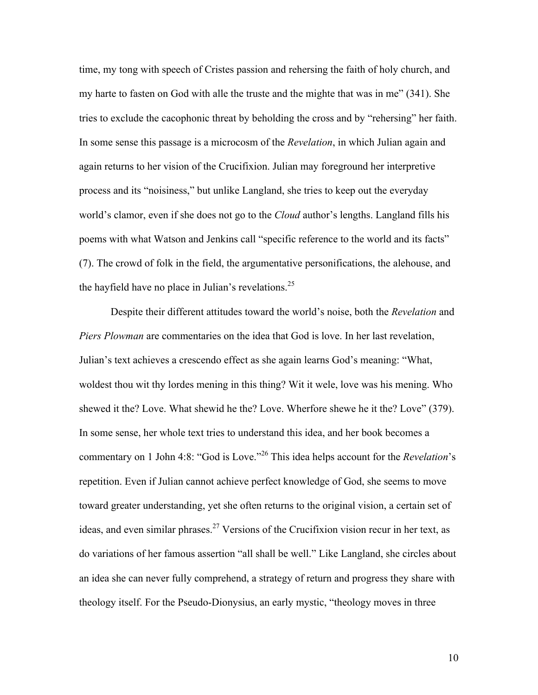time, my tong with speech of Cristes passion and rehersing the faith of holy church, and my harte to fasten on God with alle the truste and the mighte that was in me" (341). She tries to exclude the cacophonic threat by beholding the cross and by "rehersing" her faith. In some sense this passage is a microcosm of the *Revelation*, in which Julian again and again returns to her vision of the Crucifixion. Julian may foreground her interpretive process and its "noisiness," but unlike Langland, she tries to keep out the everyday world's clamor, even if she does not go to the *Cloud* author's lengths. Langland fills his poems with what Watson and Jenkins call "specific reference to the world and its facts" (7). The crowd of folk in the field, the argumentative personifications, the alehouse, and the hayfield have no place in Julian's revelations.<sup>25</sup>

Despite their different attitudes toward the world's noise, both the *Revelation* and *Piers Plowman* are commentaries on the idea that God is love. In her last revelation, Julian's text achieves a crescendo effect as she again learns God's meaning: "What, woldest thou wit thy lordes mening in this thing? Wit it wele, love was his mening. Who shewed it the? Love. What shewid he the? Love. Wherfore shewe he it the? Love" (379). In some sense, her whole text tries to understand this idea, and her book becomes a commentary on 1 John 4:8: "God is Love."<sup>26</sup> This idea helps account for the *Revelation*'s repetition. Even if Julian cannot achieve perfect knowledge of God, she seems to move toward greater understanding, yet she often returns to the original vision, a certain set of ideas, and even similar phrases.<sup>27</sup> Versions of the Crucifixion vision recur in her text, as do variations of her famous assertion "all shall be well." Like Langland, she circles about an idea she can never fully comprehend, a strategy of return and progress they share with theology itself. For the Pseudo-Dionysius, an early mystic, "theology moves in three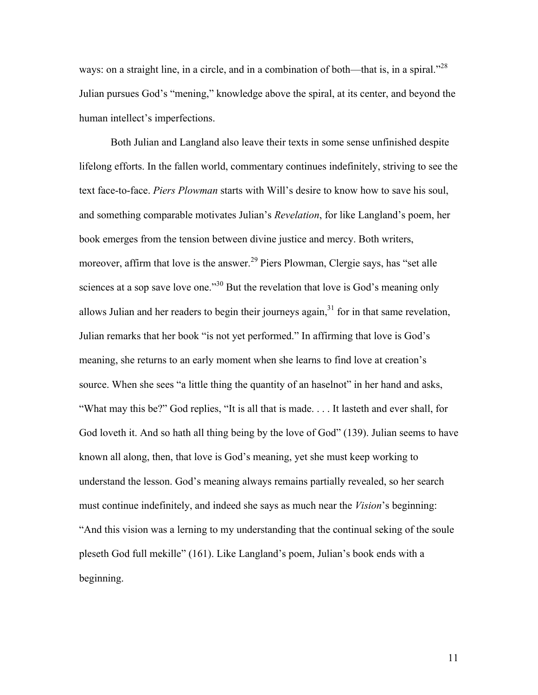ways: on a straight line, in a circle, and in a combination of both—that is, in a spiral.<sup>228</sup> Julian pursues God's "mening," knowledge above the spiral, at its center, and beyond the human intellect's imperfections.

Both Julian and Langland also leave their texts in some sense unfinished despite lifelong efforts. In the fallen world, commentary continues indefinitely, striving to see the text face-to-face. *Piers Plowman* starts with Will's desire to know how to save his soul, and something comparable motivates Julian's *Revelation*, for like Langland's poem, her book emerges from the tension between divine justice and mercy. Both writers, moreover, affirm that love is the answer.<sup>29</sup> Piers Plowman, Clergie says, has "set alle sciences at a sop save love one."<sup>30</sup> But the revelation that love is God's meaning only allows Julian and her readers to begin their journeys again,  $3<sup>1</sup>$  for in that same revelation, Julian remarks that her book "is not yet performed." In affirming that love is God's meaning, she returns to an early moment when she learns to find love at creation's source. When she sees "a little thing the quantity of an haselnot" in her hand and asks, "What may this be?" God replies, "It is all that is made. . . . It lasteth and ever shall, for God loveth it. And so hath all thing being by the love of God" (139). Julian seems to have known all along, then, that love is God's meaning, yet she must keep working to understand the lesson. God's meaning always remains partially revealed, so her search must continue indefinitely, and indeed she says as much near the *Vision*'s beginning: "And this vision was a lerning to my understanding that the continual seking of the soule pleseth God full mekille" (161). Like Langland's poem, Julian's book ends with a beginning.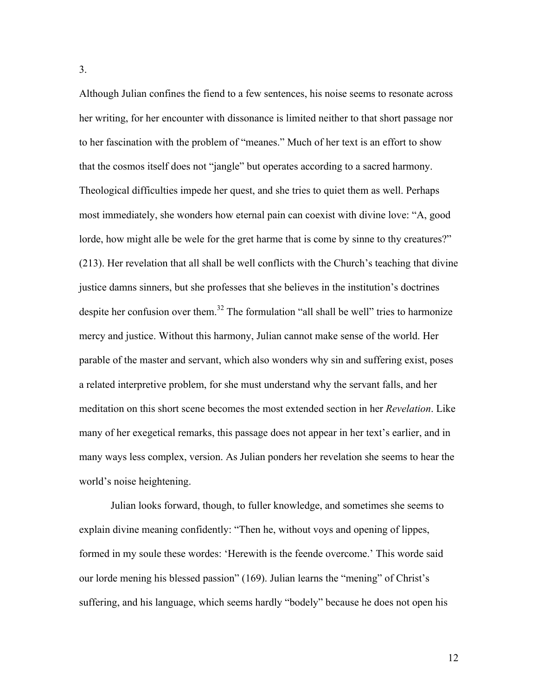Although Julian confines the fiend to a few sentences, his noise seems to resonate across her writing, for her encounter with dissonance is limited neither to that short passage nor to her fascination with the problem of "meanes." Much of her text is an effort to show that the cosmos itself does not "jangle" but operates according to a sacred harmony. Theological difficulties impede her quest, and she tries to quiet them as well. Perhaps most immediately, she wonders how eternal pain can coexist with divine love: "A, good lorde, how might alle be wele for the gret harme that is come by sinne to thy creatures?" (213). Her revelation that all shall be well conflicts with the Church's teaching that divine justice damns sinners, but she professes that she believes in the institution's doctrines despite her confusion over them.<sup>32</sup> The formulation "all shall be well" tries to harmonize mercy and justice. Without this harmony, Julian cannot make sense of the world. Her parable of the master and servant, which also wonders why sin and suffering exist, poses a related interpretive problem, for she must understand why the servant falls, and her meditation on this short scene becomes the most extended section in her *Revelation*. Like many of her exegetical remarks, this passage does not appear in her text's earlier, and in many ways less complex, version. As Julian ponders her revelation she seems to hear the world's noise heightening.

Julian looks forward, though, to fuller knowledge, and sometimes she seems to explain divine meaning confidently: "Then he, without voys and opening of lippes, formed in my soule these wordes: 'Herewith is the feende overcome.' This worde said our lorde mening his blessed passion" (169). Julian learns the "mening" of Christ's suffering, and his language, which seems hardly "bodely" because he does not open his

3.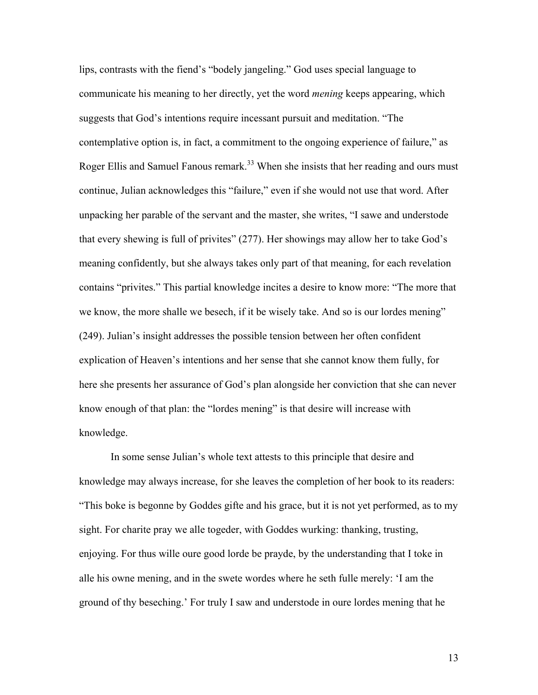lips, contrasts with the fiend's "bodely jangeling." God uses special language to communicate his meaning to her directly, yet the word *mening* keeps appearing, which suggests that God's intentions require incessant pursuit and meditation. "The contemplative option is, in fact, a commitment to the ongoing experience of failure," as Roger Ellis and Samuel Fanous remark.<sup>33</sup> When she insists that her reading and ours must continue, Julian acknowledges this "failure," even if she would not use that word. After unpacking her parable of the servant and the master, she writes, "I sawe and understode that every shewing is full of privites" (277). Her showings may allow her to take God's meaning confidently, but she always takes only part of that meaning, for each revelation contains "privites." This partial knowledge incites a desire to know more: "The more that we know, the more shalle we besech, if it be wisely take. And so is our lordes mening" (249). Julian's insight addresses the possible tension between her often confident explication of Heaven's intentions and her sense that she cannot know them fully, for here she presents her assurance of God's plan alongside her conviction that she can never know enough of that plan: the "lordes mening" is that desire will increase with knowledge.

In some sense Julian's whole text attests to this principle that desire and knowledge may always increase, for she leaves the completion of her book to its readers: "This boke is begonne by Goddes gifte and his grace, but it is not yet performed, as to my sight. For charite pray we alle togeder, with Goddes wurking: thanking, trusting, enjoying. For thus wille oure good lorde be prayde, by the understanding that I toke in alle his owne mening, and in the swete wordes where he seth fulle merely: 'I am the ground of thy beseching.' For truly I saw and understode in oure lordes mening that he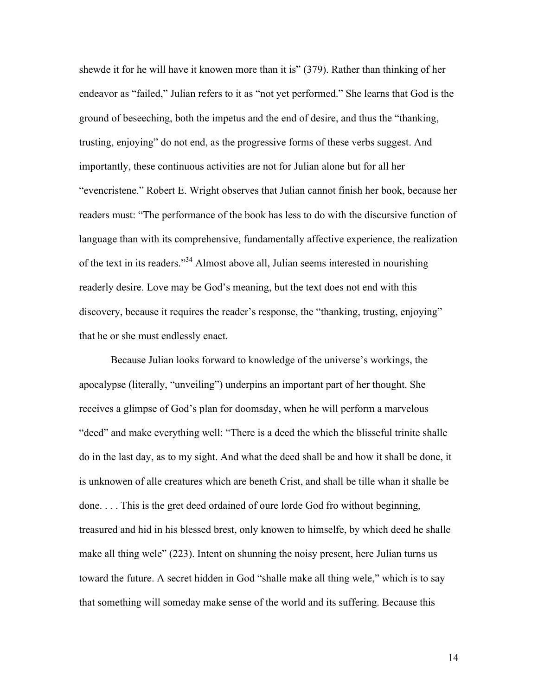shewde it for he will have it knowen more than it is" (379). Rather than thinking of her endeavor as "failed," Julian refers to it as "not yet performed." She learns that God is the ground of beseeching, both the impetus and the end of desire, and thus the "thanking, trusting, enjoying" do not end, as the progressive forms of these verbs suggest. And importantly, these continuous activities are not for Julian alone but for all her "evencristene." Robert E. Wright observes that Julian cannot finish her book, because her readers must: "The performance of the book has less to do with the discursive function of language than with its comprehensive, fundamentally affective experience, the realization of the text in its readers."34 Almost above all, Julian seems interested in nourishing readerly desire. Love may be God's meaning, but the text does not end with this discovery, because it requires the reader's response, the "thanking, trusting, enjoying" that he or she must endlessly enact.

Because Julian looks forward to knowledge of the universe's workings, the apocalypse (literally, "unveiling") underpins an important part of her thought. She receives a glimpse of God's plan for doomsday, when he will perform a marvelous "deed" and make everything well: "There is a deed the which the blisseful trinite shalle do in the last day, as to my sight. And what the deed shall be and how it shall be done, it is unknowen of alle creatures which are beneth Crist, and shall be tille whan it shalle be done. . . . This is the gret deed ordained of oure lorde God fro without beginning, treasured and hid in his blessed brest, only knowen to himselfe, by which deed he shalle make all thing wele" (223). Intent on shunning the noisy present, here Julian turns us toward the future. A secret hidden in God "shalle make all thing wele," which is to say that something will someday make sense of the world and its suffering. Because this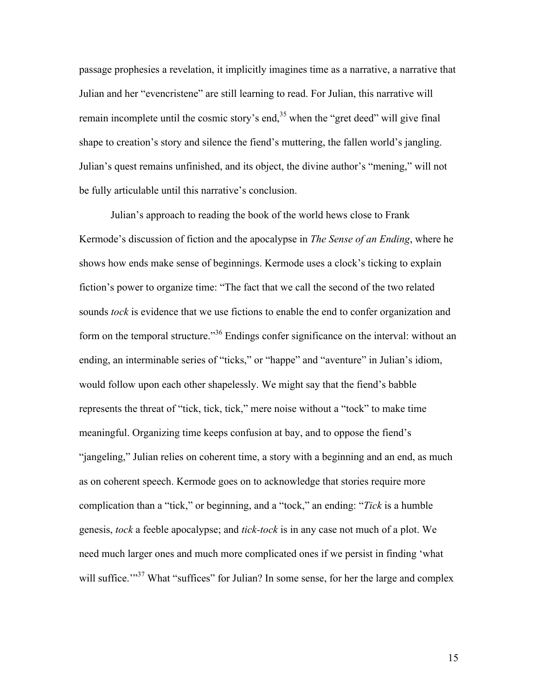passage prophesies a revelation, it implicitly imagines time as a narrative, a narrative that Julian and her "evencristene" are still learning to read. For Julian, this narrative will remain incomplete until the cosmic story's end, $35$  when the "gret deed" will give final shape to creation's story and silence the fiend's muttering, the fallen world's jangling. Julian's quest remains unfinished, and its object, the divine author's "mening," will not be fully articulable until this narrative's conclusion.

Julian's approach to reading the book of the world hews close to Frank Kermode's discussion of fiction and the apocalypse in *The Sense of an Ending*, where he shows how ends make sense of beginnings. Kermode uses a clock's ticking to explain fiction's power to organize time: "The fact that we call the second of the two related sounds *tock* is evidence that we use fictions to enable the end to confer organization and form on the temporal structure."<sup>36</sup> Endings confer significance on the interval: without an ending, an interminable series of "ticks," or "happe" and "aventure" in Julian's idiom, would follow upon each other shapelessly. We might say that the fiend's babble represents the threat of "tick, tick, tick," mere noise without a "tock" to make time meaningful. Organizing time keeps confusion at bay, and to oppose the fiend's "jangeling," Julian relies on coherent time, a story with a beginning and an end, as much as on coherent speech. Kermode goes on to acknowledge that stories require more complication than a "tick," or beginning, and a "tock," an ending: "*Tick* is a humble genesis, *tock* a feeble apocalypse; and *tick-tock* is in any case not much of a plot. We need much larger ones and much more complicated ones if we persist in finding 'what will suffice.'"<sup>37</sup> What "suffices" for Julian? In some sense, for her the large and complex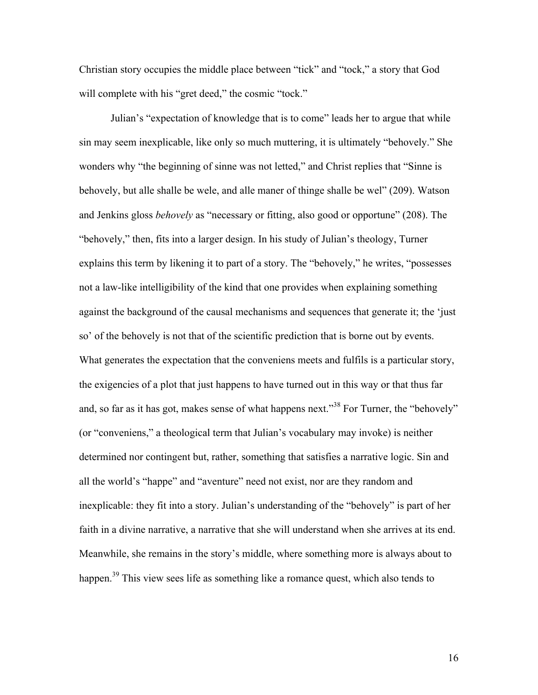Christian story occupies the middle place between "tick" and "tock," a story that God will complete with his "gret deed," the cosmic "tock."

Julian's "expectation of knowledge that is to come" leads her to argue that while sin may seem inexplicable, like only so much muttering, it is ultimately "behovely." She wonders why "the beginning of sinne was not letted," and Christ replies that "Sinne is behovely, but alle shalle be wele, and alle maner of thinge shalle be wel" (209). Watson and Jenkins gloss *behovely* as "necessary or fitting, also good or opportune" (208). The "behovely," then, fits into a larger design. In his study of Julian's theology, Turner explains this term by likening it to part of a story. The "behovely," he writes, "possesses not a law-like intelligibility of the kind that one provides when explaining something against the background of the causal mechanisms and sequences that generate it; the 'just so' of the behovely is not that of the scientific prediction that is borne out by events. What generates the expectation that the conveniens meets and fulfils is a particular story, the exigencies of a plot that just happens to have turned out in this way or that thus far and, so far as it has got, makes sense of what happens next."<sup>38</sup> For Turner, the "behovely" (or "conveniens," a theological term that Julian's vocabulary may invoke) is neither determined nor contingent but, rather, something that satisfies a narrative logic. Sin and all the world's "happe" and "aventure" need not exist, nor are they random and inexplicable: they fit into a story. Julian's understanding of the "behovely" is part of her faith in a divine narrative, a narrative that she will understand when she arrives at its end. Meanwhile, she remains in the story's middle, where something more is always about to happen.<sup>39</sup> This view sees life as something like a romance quest, which also tends to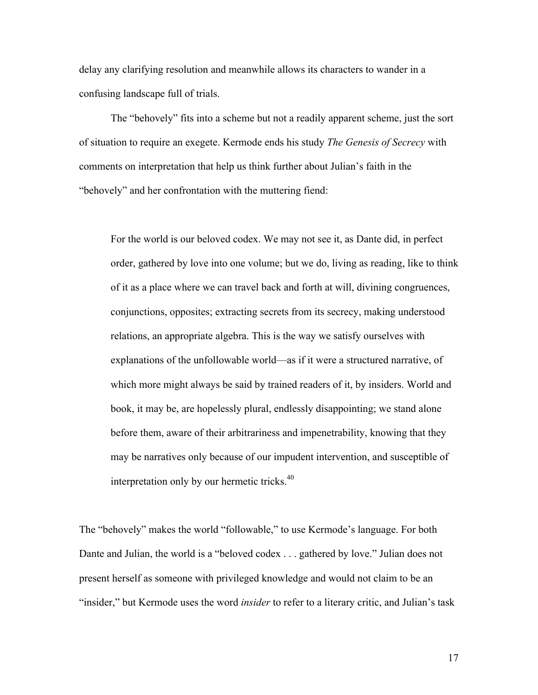delay any clarifying resolution and meanwhile allows its characters to wander in a confusing landscape full of trials.

The "behovely" fits into a scheme but not a readily apparent scheme, just the sort of situation to require an exegete. Kermode ends his study *The Genesis of Secrecy* with comments on interpretation that help us think further about Julian's faith in the "behovely" and her confrontation with the muttering fiend:

For the world is our beloved codex. We may not see it, as Dante did, in perfect order, gathered by love into one volume; but we do, living as reading, like to think of it as a place where we can travel back and forth at will, divining congruences, conjunctions, opposites; extracting secrets from its secrecy, making understood relations, an appropriate algebra. This is the way we satisfy ourselves with explanations of the unfollowable world—as if it were a structured narrative, of which more might always be said by trained readers of it, by insiders. World and book, it may be, are hopelessly plural, endlessly disappointing; we stand alone before them, aware of their arbitrariness and impenetrability, knowing that they may be narratives only because of our impudent intervention, and susceptible of interpretation only by our hermetic tricks. $40$ 

The "behovely" makes the world "followable," to use Kermode's language. For both Dante and Julian, the world is a "beloved codex . . . gathered by love." Julian does not present herself as someone with privileged knowledge and would not claim to be an "insider," but Kermode uses the word *insider* to refer to a literary critic, and Julian's task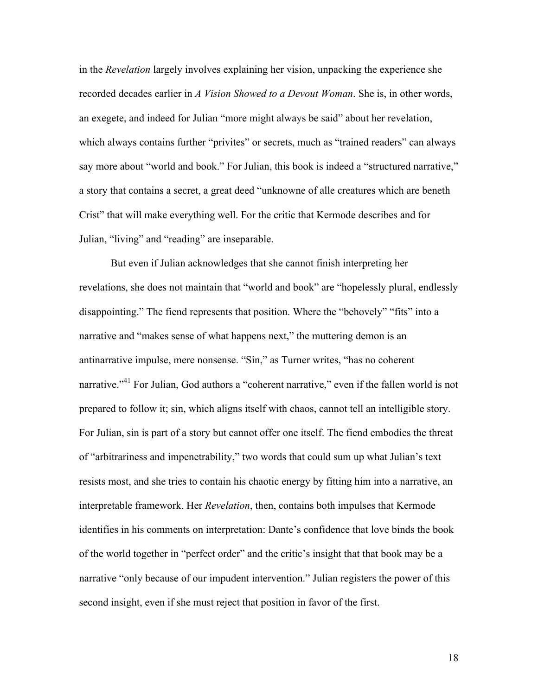in the *Revelation* largely involves explaining her vision, unpacking the experience she recorded decades earlier in *A Vision Showed to a Devout Woman*. She is, in other words, an exegete, and indeed for Julian "more might always be said" about her revelation, which always contains further "privites" or secrets, much as "trained readers" can always say more about "world and book." For Julian, this book is indeed a "structured narrative," a story that contains a secret, a great deed "unknowne of alle creatures which are beneth Crist" that will make everything well. For the critic that Kermode describes and for Julian, "living" and "reading" are inseparable.

But even if Julian acknowledges that she cannot finish interpreting her revelations, she does not maintain that "world and book" are "hopelessly plural, endlessly disappointing." The fiend represents that position. Where the "behovely" "fits" into a narrative and "makes sense of what happens next," the muttering demon is an antinarrative impulse, mere nonsense. "Sin," as Turner writes, "has no coherent narrative."<sup>41</sup> For Julian, God authors a "coherent narrative," even if the fallen world is not prepared to follow it; sin, which aligns itself with chaos, cannot tell an intelligible story. For Julian, sin is part of a story but cannot offer one itself. The fiend embodies the threat of "arbitrariness and impenetrability," two words that could sum up what Julian's text resists most, and she tries to contain his chaotic energy by fitting him into a narrative, an interpretable framework. Her *Revelation*, then, contains both impulses that Kermode identifies in his comments on interpretation: Dante's confidence that love binds the book of the world together in "perfect order" and the critic's insight that that book may be a narrative "only because of our impudent intervention." Julian registers the power of this second insight, even if she must reject that position in favor of the first.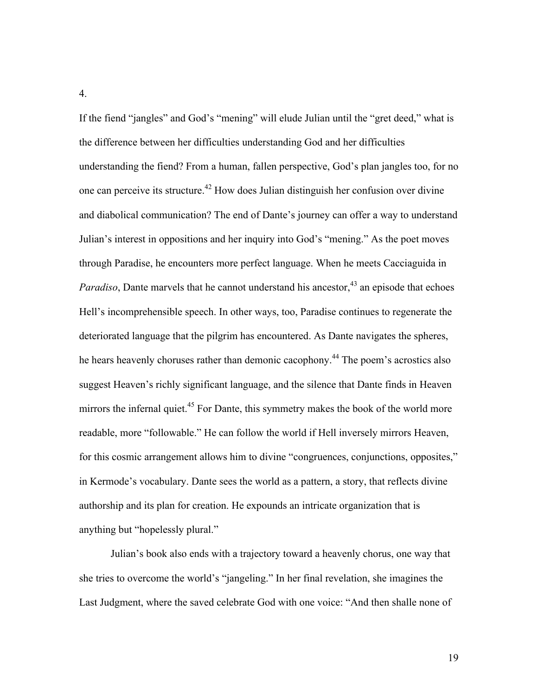4.

If the fiend "jangles" and God's "mening" will elude Julian until the "gret deed," what is the difference between her difficulties understanding God and her difficulties understanding the fiend? From a human, fallen perspective, God's plan jangles too, for no one can perceive its structure.<sup> $42$ </sup> How does Julian distinguish her confusion over divine and diabolical communication? The end of Dante's journey can offer a way to understand Julian's interest in oppositions and her inquiry into God's "mening." As the poet moves through Paradise, he encounters more perfect language. When he meets Cacciaguida in *Paradiso*, Dante marvels that he cannot understand his ancestor,<sup>43</sup> an episode that echoes Hell's incomprehensible speech. In other ways, too, Paradise continues to regenerate the deteriorated language that the pilgrim has encountered. As Dante navigates the spheres, he hears heavenly choruses rather than demonic cacophony.<sup>44</sup> The poem's acrostics also suggest Heaven's richly significant language, and the silence that Dante finds in Heaven mirrors the infernal quiet.<sup>45</sup> For Dante, this symmetry makes the book of the world more readable, more "followable." He can follow the world if Hell inversely mirrors Heaven, for this cosmic arrangement allows him to divine "congruences, conjunctions, opposites," in Kermode's vocabulary. Dante sees the world as a pattern, a story, that reflects divine authorship and its plan for creation. He expounds an intricate organization that is anything but "hopelessly plural."

Julian's book also ends with a trajectory toward a heavenly chorus, one way that she tries to overcome the world's "jangeling." In her final revelation, she imagines the Last Judgment, where the saved celebrate God with one voice: "And then shalle none of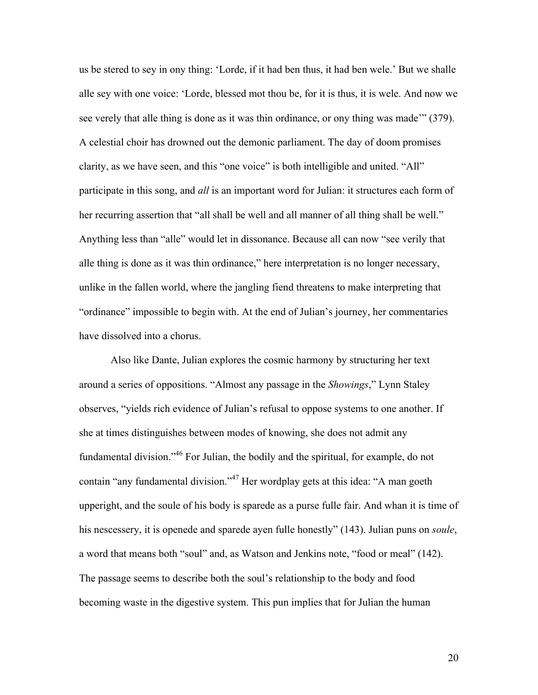us be stered to sey in ony thing: 'Lorde, if it had ben thus, it had ben wele.' But we shalle alle sey with one voice: 'Lorde, blessed mot thou be, for it is thus, it is wele. And now we see verely that alle thing is done as it was thin ordinance, or ony thing was made'" (379). A celestial choir has drowned out the demonic parliament. The day of doom promises clarity, as we have seen, and this "one voice" is both intelligible and united. "All" participate in this song, and *all* is an important word for Julian: it structures each form of her recurring assertion that "all shall be well and all manner of all thing shall be well." Anything less than "alle" would let in dissonance. Because all can now "see verily that alle thing is done as it was thin ordinance," here interpretation is no longer necessary, unlike in the fallen world, where the jangling fiend threatens to make interpreting that "ordinance" impossible to begin with. At the end of Julian's journey, her commentaries have dissolved into a chorus.

Also like Dante, Julian explores the cosmic harmony by structuring her text around a series of oppositions. "Almost any passage in the *Showings*," Lynn Staley observes, "yields rich evidence of Julian's refusal to oppose systems to one another. If she at times distinguishes between modes of knowing, she does not admit any fundamental division."46 For Julian, the bodily and the spiritual, for example, do not contain "any fundamental division."<sup>47</sup> Her wordplay gets at this idea: "A man goeth upperight, and the soule of his body is sparede as a purse fulle fair. And whan it is time of his nescessery, it is openede and sparede ayen fulle honestly" (143). Julian puns on *soule*, a word that means both "soul" and, as Watson and Jenkins note, "food or meal" (142). The passage seems to describe both the soul's relationship to the body and food becoming waste in the digestive system. This pun implies that for Julian the human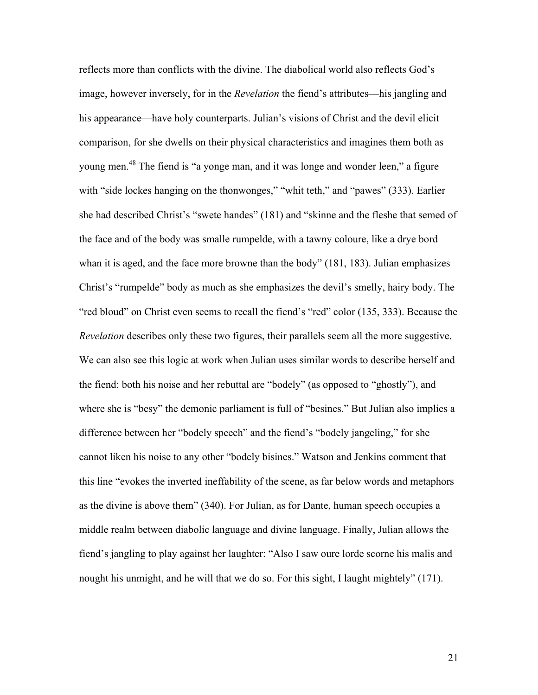reflects more than conflicts with the divine. The diabolical world also reflects God's image, however inversely, for in the *Revelation* the fiend's attributes—his jangling and his appearance—have holy counterparts. Julian's visions of Christ and the devil elicit comparison, for she dwells on their physical characteristics and imagines them both as young men.<sup>48</sup> The fiend is "a yonge man, and it was longe and wonder leen," a figure with "side lockes hanging on the thonwonges," "whit teth," and "pawes" (333). Earlier she had described Christ's "swete handes" (181) and "skinne and the fleshe that semed of the face and of the body was smalle rumpelde, with a tawny coloure, like a drye bord whan it is aged, and the face more browne than the body" (181, 183). Julian emphasizes Christ's "rumpelde" body as much as she emphasizes the devil's smelly, hairy body. The "red bloud" on Christ even seems to recall the fiend's "red" color (135, 333). Because the *Revelation* describes only these two figures, their parallels seem all the more suggestive. We can also see this logic at work when Julian uses similar words to describe herself and the fiend: both his noise and her rebuttal are "bodely" (as opposed to "ghostly"), and where she is "besy" the demonic parliament is full of "besines." But Julian also implies a difference between her "bodely speech" and the fiend's "bodely jangeling," for she cannot liken his noise to any other "bodely bisines." Watson and Jenkins comment that this line "evokes the inverted ineffability of the scene, as far below words and metaphors as the divine is above them" (340). For Julian, as for Dante, human speech occupies a middle realm between diabolic language and divine language. Finally, Julian allows the fiend's jangling to play against her laughter: "Also I saw oure lorde scorne his malis and nought his unmight, and he will that we do so. For this sight, I laught mightely" (171).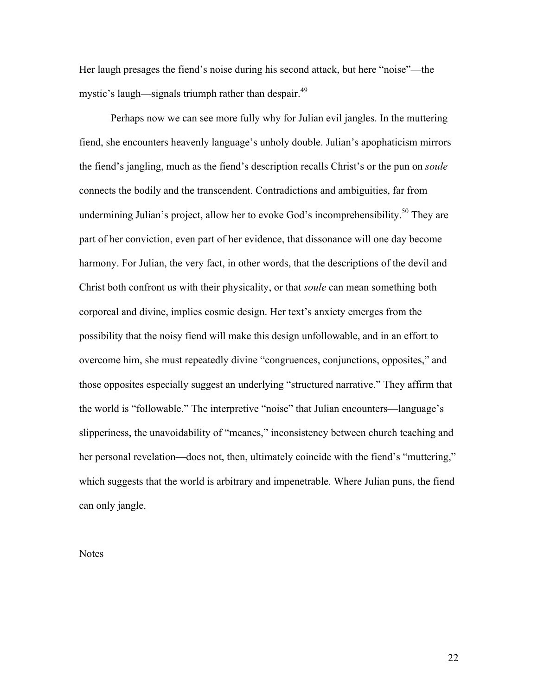Her laugh presages the fiend's noise during his second attack, but here "noise"—the mystic's laugh—signals triumph rather than despair.<sup>49</sup>

Perhaps now we can see more fully why for Julian evil jangles. In the muttering fiend, she encounters heavenly language's unholy double. Julian's apophaticism mirrors the fiend's jangling, much as the fiend's description recalls Christ's or the pun on *soule* connects the bodily and the transcendent. Contradictions and ambiguities, far from undermining Julian's project, allow her to evoke God's incomprehensibility.<sup>50</sup> They are part of her conviction, even part of her evidence, that dissonance will one day become harmony. For Julian, the very fact, in other words, that the descriptions of the devil and Christ both confront us with their physicality, or that *soule* can mean something both corporeal and divine, implies cosmic design. Her text's anxiety emerges from the possibility that the noisy fiend will make this design unfollowable, and in an effort to overcome him, she must repeatedly divine "congruences, conjunctions, opposites," and those opposites especially suggest an underlying "structured narrative." They affirm that the world is "followable." The interpretive "noise" that Julian encounters—language's slipperiness, the unavoidability of "meanes," inconsistency between church teaching and her personal revelation—does not, then, ultimately coincide with the fiend's "muttering," which suggests that the world is arbitrary and impenetrable. Where Julian puns, the fiend can only jangle.

**Notes**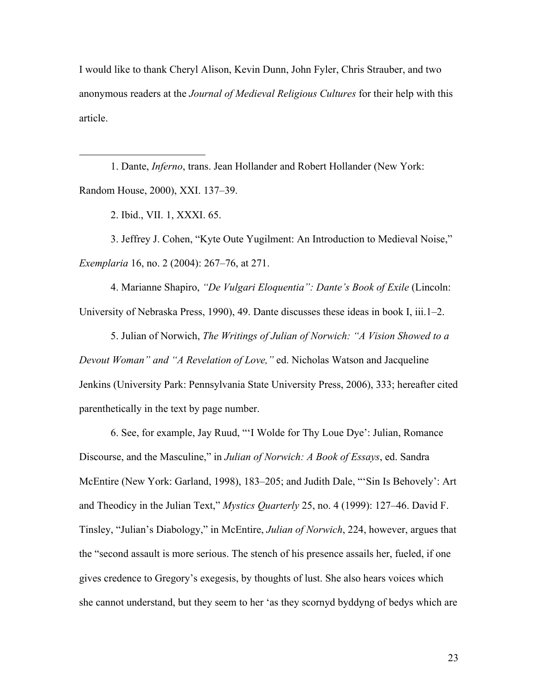I would like to thank Cheryl Alison, Kevin Dunn, John Fyler, Chris Strauber, and two anonymous readers at the *Journal of Medieval Religious Cultures* for their help with this article.

1. Dante, *Inferno*, trans. Jean Hollander and Robert Hollander (New York: Random House, 2000), XXI. 137–39.

2. Ibid., VII. 1, XXXI. 65.

 $\overline{a}$ 

3. Jeffrey J. Cohen, "Kyte Oute Yugilment: An Introduction to Medieval Noise," *Exemplaria* 16, no. 2 (2004): 267–76, at 271.

4. Marianne Shapiro, *"De Vulgari Eloquentia": Dante's Book of Exile* (Lincoln: University of Nebraska Press, 1990), 49. Dante discusses these ideas in book I, iii.1–2.

5. Julian of Norwich, *The Writings of Julian of Norwich: "A Vision Showed to a Devout Woman" and "A Revelation of Love,"* ed. Nicholas Watson and Jacqueline Jenkins (University Park: Pennsylvania State University Press, 2006), 333; hereafter cited parenthetically in the text by page number.

6. See, for example, Jay Ruud, "'I Wolde for Thy Loue Dye': Julian, Romance Discourse, and the Masculine," in *Julian of Norwich: A Book of Essays*, ed. Sandra McEntire (New York: Garland, 1998), 183–205; and Judith Dale, "'Sin Is Behovely': Art and Theodicy in the Julian Text," *Mystics Quarterly* 25, no. 4 (1999): 127–46. David F. Tinsley, "Julian's Diabology," in McEntire, *Julian of Norwich*, 224, however, argues that the "second assault is more serious. The stench of his presence assails her, fueled, if one gives credence to Gregory's exegesis, by thoughts of lust. She also hears voices which she cannot understand, but they seem to her 'as they scornyd byddyng of bedys which are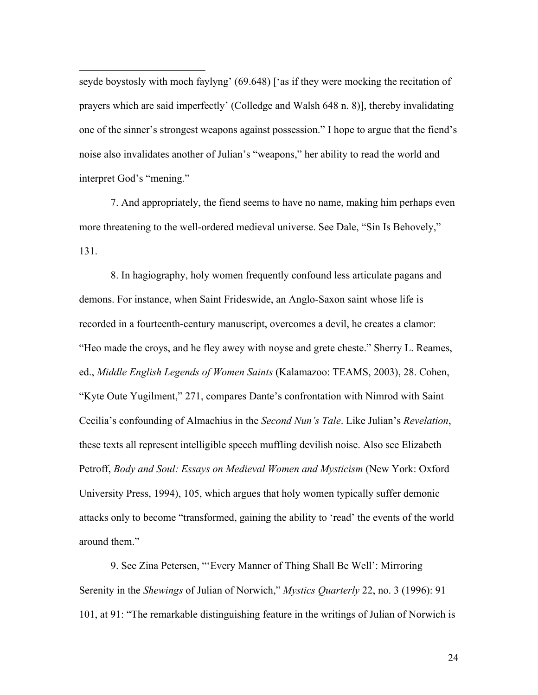seyde boystosly with moch faylyng' (69.648) ['as if they were mocking the recitation of prayers which are said imperfectly' (Colledge and Walsh 648 n. 8)], thereby invalidating one of the sinner's strongest weapons against possession." I hope to argue that the fiend's noise also invalidates another of Julian's "weapons," her ability to read the world and interpret God's "mening."

 $\overline{a}$ 

7. And appropriately, the fiend seems to have no name, making him perhaps even more threatening to the well-ordered medieval universe. See Dale, "Sin Is Behovely," 131.

8. In hagiography, holy women frequently confound less articulate pagans and demons. For instance, when Saint Frideswide, an Anglo-Saxon saint whose life is recorded in a fourteenth-century manuscript, overcomes a devil, he creates a clamor: "Heo made the croys, and he fley awey with noyse and grete cheste." Sherry L. Reames, ed., *Middle English Legends of Women Saints* (Kalamazoo: TEAMS, 2003), 28. Cohen, "Kyte Oute Yugilment," 271, compares Dante's confrontation with Nimrod with Saint Cecilia's confounding of Almachius in the *Second Nun's Tale*. Like Julian's *Revelation*, these texts all represent intelligible speech muffling devilish noise. Also see Elizabeth Petroff, *Body and Soul: Essays on Medieval Women and Mysticism* (New York: Oxford University Press, 1994), 105, which argues that holy women typically suffer demonic attacks only to become "transformed, gaining the ability to 'read' the events of the world around them."

9. See Zina Petersen, "'Every Manner of Thing Shall Be Well': Mirroring Serenity in the *Shewings* of Julian of Norwich," *Mystics Quarterly* 22, no. 3 (1996): 91– 101, at 91: "The remarkable distinguishing feature in the writings of Julian of Norwich is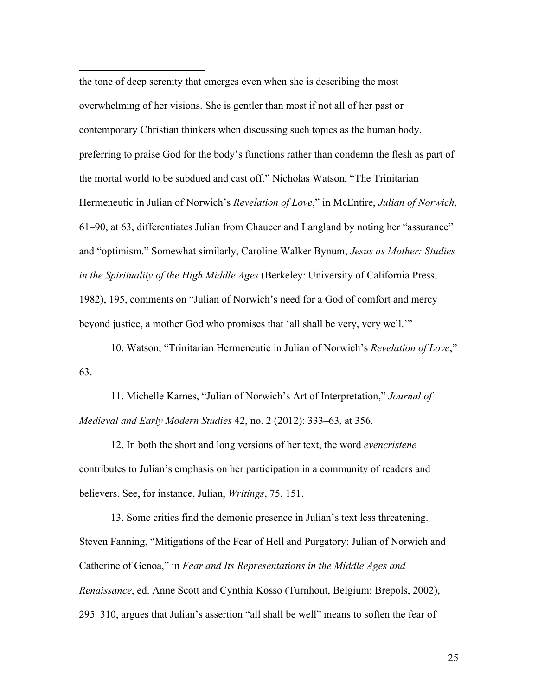the tone of deep serenity that emerges even when she is describing the most overwhelming of her visions. She is gentler than most if not all of her past or contemporary Christian thinkers when discussing such topics as the human body, preferring to praise God for the body's functions rather than condemn the flesh as part of the mortal world to be subdued and cast off." Nicholas Watson, "The Trinitarian Hermeneutic in Julian of Norwich's *Revelation of Love*," in McEntire, *Julian of Norwich*, 61–90, at 63, differentiates Julian from Chaucer and Langland by noting her "assurance" and "optimism." Somewhat similarly, Caroline Walker Bynum, *Jesus as Mother: Studies in the Spirituality of the High Middle Ages* (Berkeley: University of California Press, 1982), 195, comments on "Julian of Norwich's need for a God of comfort and mercy beyond justice, a mother God who promises that 'all shall be very, very well.'"

 $\overline{a}$ 

10. Watson, "Trinitarian Hermeneutic in Julian of Norwich's *Revelation of Love*," 63.

11. Michelle Karnes, "Julian of Norwich's Art of Interpretation," *Journal of Medieval and Early Modern Studies* 42, no. 2 (2012): 333–63, at 356.

12. In both the short and long versions of her text, the word *evencristene* contributes to Julian's emphasis on her participation in a community of readers and believers. See, for instance, Julian, *Writings*, 75, 151.

13. Some critics find the demonic presence in Julian's text less threatening. Steven Fanning, "Mitigations of the Fear of Hell and Purgatory: Julian of Norwich and Catherine of Genoa," in *Fear and Its Representations in the Middle Ages and Renaissance*, ed. Anne Scott and Cynthia Kosso (Turnhout, Belgium: Brepols, 2002), 295–310, argues that Julian's assertion "all shall be well" means to soften the fear of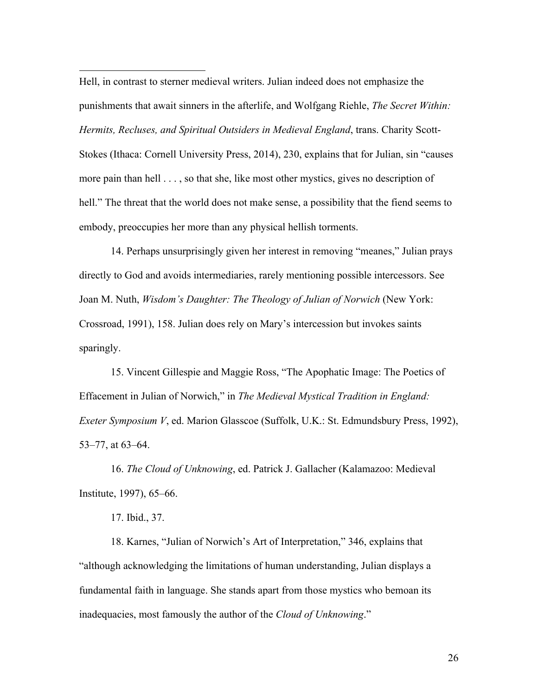Hell, in contrast to sterner medieval writers. Julian indeed does not emphasize the punishments that await sinners in the afterlife, and Wolfgang Riehle, *The Secret Within: Hermits, Recluses, and Spiritual Outsiders in Medieval England*, trans. Charity Scott-Stokes (Ithaca: Cornell University Press, 2014), 230, explains that for Julian, sin "causes more pain than hell . . . , so that she, like most other mystics, gives no description of hell." The threat that the world does not make sense, a possibility that the fiend seems to embody, preoccupies her more than any physical hellish torments.

14. Perhaps unsurprisingly given her interest in removing "meanes," Julian prays directly to God and avoids intermediaries, rarely mentioning possible intercessors. See Joan M. Nuth, *Wisdom's Daughter: The Theology of Julian of Norwich* (New York: Crossroad, 1991), 158. Julian does rely on Mary's intercession but invokes saints sparingly.

15. Vincent Gillespie and Maggie Ross, "The Apophatic Image: The Poetics of Effacement in Julian of Norwich," in *The Medieval Mystical Tradition in England: Exeter Symposium V*, ed. Marion Glasscoe (Suffolk, U.K.: St. Edmundsbury Press, 1992), 53–77, at 63–64.

16. *The Cloud of Unknowing*, ed. Patrick J. Gallacher (Kalamazoo: Medieval Institute, 1997), 65–66.

17. Ibid., 37.

 $\overline{a}$ 

18. Karnes, "Julian of Norwich's Art of Interpretation," 346, explains that "although acknowledging the limitations of human understanding, Julian displays a fundamental faith in language. She stands apart from those mystics who bemoan its inadequacies, most famously the author of the *Cloud of Unknowing*."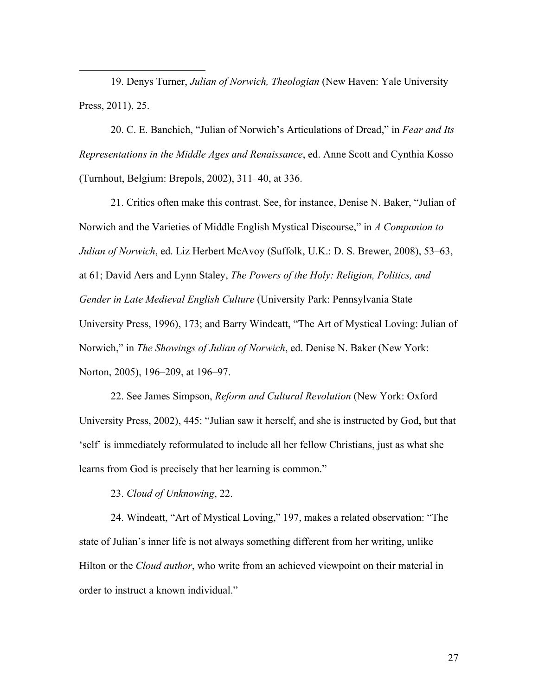19. Denys Turner, *Julian of Norwich, Theologian* (New Haven: Yale University Press, 2011), 25.

20. C. E. Banchich, "Julian of Norwich's Articulations of Dread," in *Fear and Its Representations in the Middle Ages and Renaissance*, ed. Anne Scott and Cynthia Kosso (Turnhout, Belgium: Brepols, 2002), 311–40, at 336.

21. Critics often make this contrast. See, for instance, Denise N. Baker, "Julian of Norwich and the Varieties of Middle English Mystical Discourse," in *A Companion to Julian of Norwich*, ed. Liz Herbert McAvoy (Suffolk, U.K.: D. S. Brewer, 2008), 53–63, at 61; David Aers and Lynn Staley, *The Powers of the Holy: Religion, Politics, and Gender in Late Medieval English Culture* (University Park: Pennsylvania State University Press, 1996), 173; and Barry Windeatt, "The Art of Mystical Loving: Julian of Norwich," in *The Showings of Julian of Norwich*, ed. Denise N. Baker (New York: Norton, 2005), 196–209, at 196–97.

22. See James Simpson, *Reform and Cultural Revolution* (New York: Oxford University Press, 2002), 445: "Julian saw it herself, and she is instructed by God, but that 'self' is immediately reformulated to include all her fellow Christians, just as what she learns from God is precisely that her learning is common."

23. *Cloud of Unknowing*, 22.

 $\overline{a}$ 

24. Windeatt, "Art of Mystical Loving," 197, makes a related observation: "The state of Julian's inner life is not always something different from her writing, unlike Hilton or the *Cloud author*, who write from an achieved viewpoint on their material in order to instruct a known individual."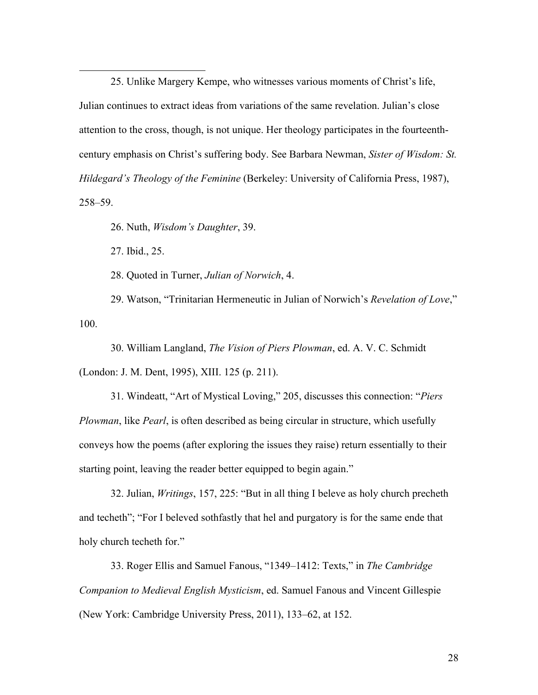25. Unlike Margery Kempe, who witnesses various moments of Christ's life, Julian continues to extract ideas from variations of the same revelation. Julian's close attention to the cross, though, is not unique. Her theology participates in the fourteenthcentury emphasis on Christ's suffering body. See Barbara Newman, *Sister of Wisdom: St. Hildegard's Theology of the Feminine* (Berkeley: University of California Press, 1987), 258–59.

26. Nuth, *Wisdom's Daughter*, 39.

27. Ibid., 25.

 $\overline{a}$ 

28. Quoted in Turner, *Julian of Norwich*, 4.

29. Watson, "Trinitarian Hermeneutic in Julian of Norwich's *Revelation of Love*," 100.

30. William Langland, *The Vision of Piers Plowman*, ed. A. V. C. Schmidt

(London: J. M. Dent, 1995), XIII. 125 (p. 211).

31. Windeatt, "Art of Mystical Loving," 205, discusses this connection: "*Piers Plowman*, like *Pearl*, is often described as being circular in structure, which usefully conveys how the poems (after exploring the issues they raise) return essentially to their starting point, leaving the reader better equipped to begin again."

32. Julian, *Writings*, 157, 225: "But in all thing I beleve as holy church precheth and techeth"; "For I beleved sothfastly that hel and purgatory is for the same ende that holy church techeth for."

33. Roger Ellis and Samuel Fanous, "1349–1412: Texts," in *The Cambridge Companion to Medieval English Mysticism*, ed. Samuel Fanous and Vincent Gillespie (New York: Cambridge University Press, 2011), 133–62, at 152.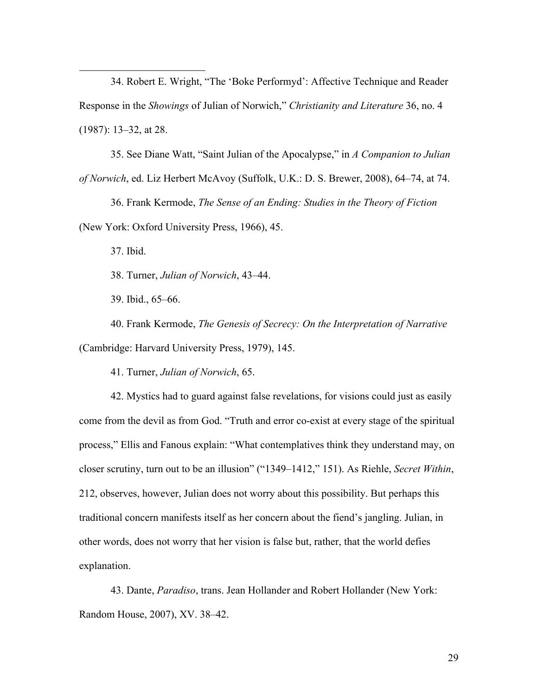34. Robert E. Wright, "The 'Boke Performyd': Affective Technique and Reader Response in the *Showings* of Julian of Norwich," *Christianity and Literature* 36, no. 4 (1987): 13–32, at 28.

35. See Diane Watt, "Saint Julian of the Apocalypse," in *A Companion to Julian of Norwich*, ed. Liz Herbert McAvoy (Suffolk, U.K.: D. S. Brewer, 2008), 64–74, at 74.

36. Frank Kermode, *The Sense of an Ending: Studies in the Theory of Fiction* (New York: Oxford University Press, 1966), 45.

37. Ibid.

 $\overline{a}$ 

38. Turner, *Julian of Norwich*, 43–44.

39. Ibid., 65–66.

40. Frank Kermode, *The Genesis of Secrecy: On the Interpretation of Narrative* (Cambridge: Harvard University Press, 1979), 145.

41. Turner, *Julian of Norwich*, 65.

42. Mystics had to guard against false revelations, for visions could just as easily come from the devil as from God. "Truth and error co-exist at every stage of the spiritual process," Ellis and Fanous explain: "What contemplatives think they understand may, on closer scrutiny, turn out to be an illusion" ("1349–1412," 151). As Riehle, *Secret Within*, 212, observes, however, Julian does not worry about this possibility. But perhaps this traditional concern manifests itself as her concern about the fiend's jangling. Julian, in other words, does not worry that her vision is false but, rather, that the world defies explanation.

43. Dante, *Paradiso*, trans. Jean Hollander and Robert Hollander (New York: Random House, 2007), XV. 38–42.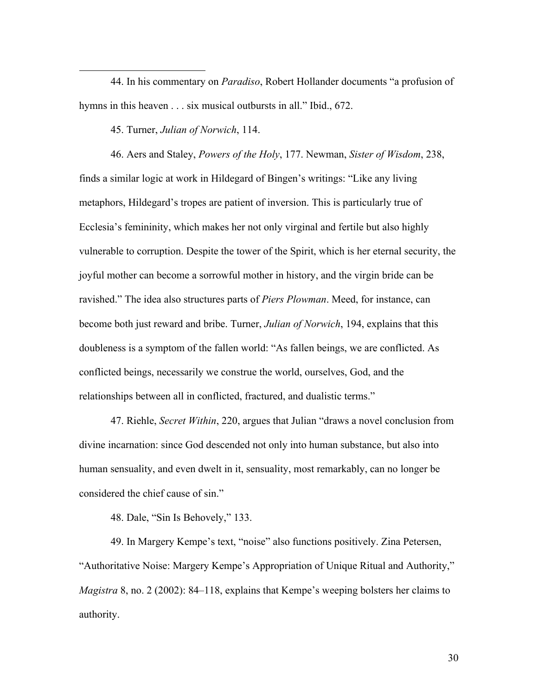44. In his commentary on *Paradiso*, Robert Hollander documents "a profusion of hymns in this heaven . . . six musical outbursts in all." Ibid., 672.

45. Turner, *Julian of Norwich*, 114.

 $\overline{a}$ 

46. Aers and Staley, *Powers of the Holy*, 177. Newman, *Sister of Wisdom*, 238, finds a similar logic at work in Hildegard of Bingen's writings: "Like any living metaphors, Hildegard's tropes are patient of inversion. This is particularly true of Ecclesia's femininity, which makes her not only virginal and fertile but also highly vulnerable to corruption. Despite the tower of the Spirit, which is her eternal security, the joyful mother can become a sorrowful mother in history, and the virgin bride can be ravished." The idea also structures parts of *Piers Plowman*. Meed, for instance, can become both just reward and bribe. Turner, *Julian of Norwich*, 194, explains that this doubleness is a symptom of the fallen world: "As fallen beings, we are conflicted. As conflicted beings, necessarily we construe the world, ourselves, God, and the relationships between all in conflicted, fractured, and dualistic terms."

47. Riehle, *Secret Within*, 220, argues that Julian "draws a novel conclusion from divine incarnation: since God descended not only into human substance, but also into human sensuality, and even dwelt in it, sensuality, most remarkably, can no longer be considered the chief cause of sin."

48. Dale, "Sin Is Behovely," 133.

49. In Margery Kempe's text, "noise" also functions positively. Zina Petersen, "Authoritative Noise: Margery Kempe's Appropriation of Unique Ritual and Authority," *Magistra* 8, no. 2 (2002): 84–118, explains that Kempe's weeping bolsters her claims to authority.